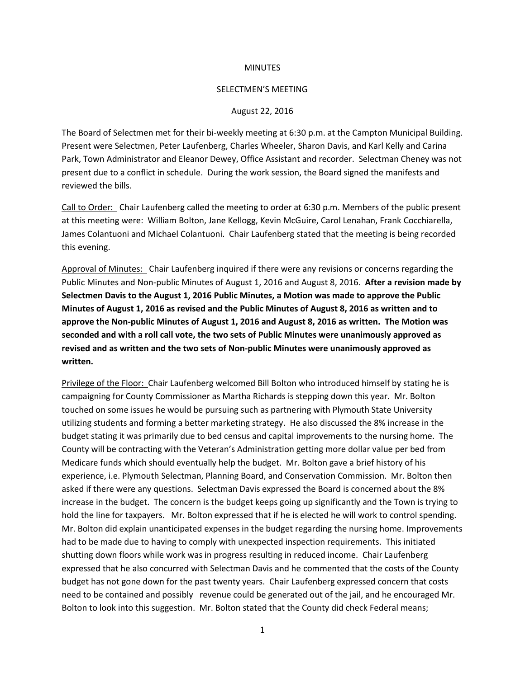### **MINUTES**

### SELECTMEN'S MEETING

#### August 22, 2016

The Board of Selectmen met for their bi-weekly meeting at 6:30 p.m. at the Campton Municipal Building. Present were Selectmen, Peter Laufenberg, Charles Wheeler, Sharon Davis, and Karl Kelly and Carina Park, Town Administrator and Eleanor Dewey, Office Assistant and recorder. Selectman Cheney was not present due to a conflict in schedule. During the work session, the Board signed the manifests and reviewed the bills.

Call to Order: Chair Laufenberg called the meeting to order at 6:30 p.m. Members of the public present at this meeting were: William Bolton, Jane Kellogg, Kevin McGuire, Carol Lenahan, Frank Cocchiarella, James Colantuoni and Michael Colantuoni. Chair Laufenberg stated that the meeting is being recorded this evening.

Approval of Minutes: Chair Laufenberg inquired if there were any revisions or concerns regarding the Public Minutes and Non-public Minutes of August 1, 2016 and August 8, 2016. **After a revision made by Selectmen Davis to the August 1, 2016 Public Minutes, a Motion was made to approve the Public Minutes of August 1, 2016 as revised and the Public Minutes of August 8, 2016 as written and to approve the Non-public Minutes of August 1, 2016 and August 8, 2016 as written. The Motion was seconded and with a roll call vote, the two sets of Public Minutes were unanimously approved as revised and as written and the two sets of Non-public Minutes were unanimously approved as written.**

Privilege of the Floor: Chair Laufenberg welcomed Bill Bolton who introduced himself by stating he is campaigning for County Commissioner as Martha Richards is stepping down this year. Mr. Bolton touched on some issues he would be pursuing such as partnering with Plymouth State University utilizing students and forming a better marketing strategy. He also discussed the 8% increase in the budget stating it was primarily due to bed census and capital improvements to the nursing home. The County will be contracting with the Veteran's Administration getting more dollar value per bed from Medicare funds which should eventually help the budget. Mr. Bolton gave a brief history of his experience, i.e. Plymouth Selectman, Planning Board, and Conservation Commission. Mr. Bolton then asked if there were any questions. Selectman Davis expressed the Board is concerned about the 8% increase in the budget. The concern is the budget keeps going up significantly and the Town is trying to hold the line for taxpayers. Mr. Bolton expressed that if he is elected he will work to control spending. Mr. Bolton did explain unanticipated expenses in the budget regarding the nursing home. Improvements had to be made due to having to comply with unexpected inspection requirements. This initiated shutting down floors while work was in progress resulting in reduced income. Chair Laufenberg expressed that he also concurred with Selectman Davis and he commented that the costs of the County budget has not gone down for the past twenty years. Chair Laufenberg expressed concern that costs need to be contained and possibly revenue could be generated out of the jail, and he encouraged Mr. Bolton to look into this suggestion. Mr. Bolton stated that the County did check Federal means;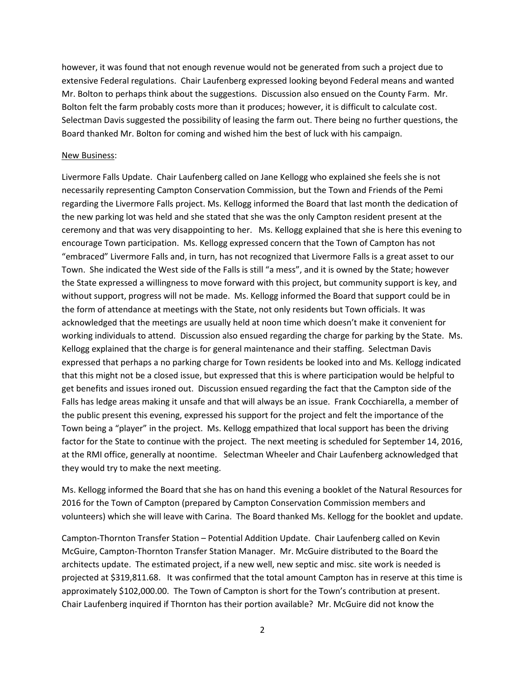however, it was found that not enough revenue would not be generated from such a project due to extensive Federal regulations. Chair Laufenberg expressed looking beyond Federal means and wanted Mr. Bolton to perhaps think about the suggestions. Discussion also ensued on the County Farm. Mr. Bolton felt the farm probably costs more than it produces; however, it is difficult to calculate cost. Selectman Davis suggested the possibility of leasing the farm out. There being no further questions, the Board thanked Mr. Bolton for coming and wished him the best of luck with his campaign.

### New Business:

Livermore Falls Update. Chair Laufenberg called on Jane Kellogg who explained she feels she is not necessarily representing Campton Conservation Commission, but the Town and Friends of the Pemi regarding the Livermore Falls project. Ms. Kellogg informed the Board that last month the dedication of the new parking lot was held and she stated that she was the only Campton resident present at the ceremony and that was very disappointing to her. Ms. Kellogg explained that she is here this evening to encourage Town participation. Ms. Kellogg expressed concern that the Town of Campton has not "embraced" Livermore Falls and, in turn, has not recognized that Livermore Falls is a great asset to our Town. She indicated the West side of the Falls is still "a mess", and it is owned by the State; however the State expressed a willingness to move forward with this project, but community support is key, and without support, progress will not be made. Ms. Kellogg informed the Board that support could be in the form of attendance at meetings with the State, not only residents but Town officials. It was acknowledged that the meetings are usually held at noon time which doesn't make it convenient for working individuals to attend. Discussion also ensued regarding the charge for parking by the State. Ms. Kellogg explained that the charge is for general maintenance and their staffing. Selectman Davis expressed that perhaps a no parking charge for Town residents be looked into and Ms. Kellogg indicated that this might not be a closed issue, but expressed that this is where participation would be helpful to get benefits and issues ironed out. Discussion ensued regarding the fact that the Campton side of the Falls has ledge areas making it unsafe and that will always be an issue. Frank Cocchiarella, a member of the public present this evening, expressed his support for the project and felt the importance of the Town being a "player" in the project. Ms. Kellogg empathized that local support has been the driving factor for the State to continue with the project. The next meeting is scheduled for September 14, 2016, at the RMI office, generally at noontime. Selectman Wheeler and Chair Laufenberg acknowledged that they would try to make the next meeting.

Ms. Kellogg informed the Board that she has on hand this evening a booklet of the Natural Resources for 2016 for the Town of Campton (prepared by Campton Conservation Commission members and volunteers) which she will leave with Carina. The Board thanked Ms. Kellogg for the booklet and update.

Campton-Thornton Transfer Station – Potential Addition Update. Chair Laufenberg called on Kevin McGuire, Campton-Thornton Transfer Station Manager. Mr. McGuire distributed to the Board the architects update. The estimated project, if a new well, new septic and misc. site work is needed is projected at \$319,811.68. It was confirmed that the total amount Campton has in reserve at this time is approximately \$102,000.00. The Town of Campton is short for the Town's contribution at present. Chair Laufenberg inquired if Thornton has their portion available? Mr. McGuire did not know the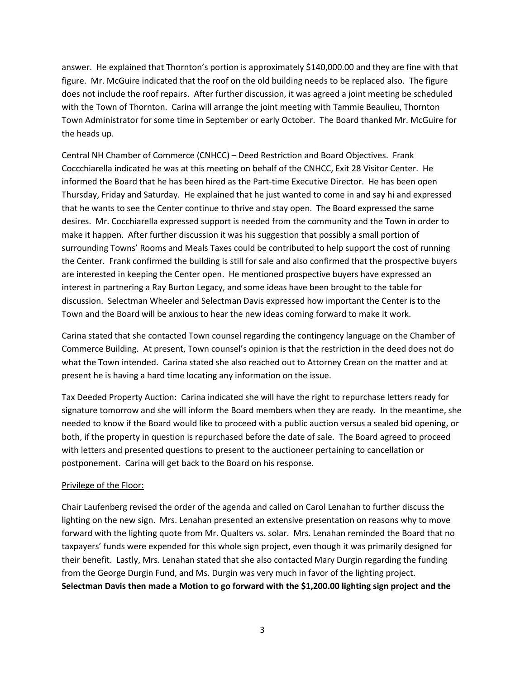answer. He explained that Thornton's portion is approximately \$140,000.00 and they are fine with that figure. Mr. McGuire indicated that the roof on the old building needs to be replaced also. The figure does not include the roof repairs. After further discussion, it was agreed a joint meeting be scheduled with the Town of Thornton. Carina will arrange the joint meeting with Tammie Beaulieu, Thornton Town Administrator for some time in September or early October. The Board thanked Mr. McGuire for the heads up.

Central NH Chamber of Commerce (CNHCC) – Deed Restriction and Board Objectives. Frank Coccchiarella indicated he was at this meeting on behalf of the CNHCC, Exit 28 Visitor Center. He informed the Board that he has been hired as the Part-time Executive Director. He has been open Thursday, Friday and Saturday. He explained that he just wanted to come in and say hi and expressed that he wants to see the Center continue to thrive and stay open. The Board expressed the same desires. Mr. Cocchiarella expressed support is needed from the community and the Town in order to make it happen. After further discussion it was his suggestion that possibly a small portion of surrounding Towns' Rooms and Meals Taxes could be contributed to help support the cost of running the Center. Frank confirmed the building is still for sale and also confirmed that the prospective buyers are interested in keeping the Center open. He mentioned prospective buyers have expressed an interest in partnering a Ray Burton Legacy, and some ideas have been brought to the table for discussion. Selectman Wheeler and Selectman Davis expressed how important the Center is to the Town and the Board will be anxious to hear the new ideas coming forward to make it work.

Carina stated that she contacted Town counsel regarding the contingency language on the Chamber of Commerce Building. At present, Town counsel's opinion is that the restriction in the deed does not do what the Town intended. Carina stated she also reached out to Attorney Crean on the matter and at present he is having a hard time locating any information on the issue.

Tax Deeded Property Auction: Carina indicated she will have the right to repurchase letters ready for signature tomorrow and she will inform the Board members when they are ready. In the meantime, she needed to know if the Board would like to proceed with a public auction versus a sealed bid opening, or both, if the property in question is repurchased before the date of sale. The Board agreed to proceed with letters and presented questions to present to the auctioneer pertaining to cancellation or postponement. Carina will get back to the Board on his response.

## Privilege of the Floor:

Chair Laufenberg revised the order of the agenda and called on Carol Lenahan to further discuss the lighting on the new sign. Mrs. Lenahan presented an extensive presentation on reasons why to move forward with the lighting quote from Mr. Qualters vs. solar. Mrs. Lenahan reminded the Board that no taxpayers' funds were expended for this whole sign project, even though it was primarily designed for their benefit. Lastly, Mrs. Lenahan stated that she also contacted Mary Durgin regarding the funding from the George Durgin Fund, and Ms. Durgin was very much in favor of the lighting project. **Selectman Davis then made a Motion to go forward with the \$1,200.00 lighting sign project and the**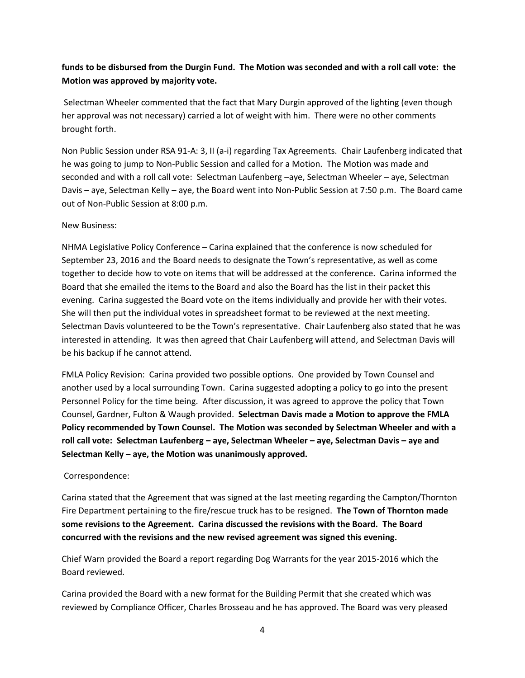# **funds to be disbursed from the Durgin Fund. The Motion was seconded and with a roll call vote: the Motion was approved by majority vote.**

Selectman Wheeler commented that the fact that Mary Durgin approved of the lighting (even though her approval was not necessary) carried a lot of weight with him. There were no other comments brought forth.

Non Public Session under RSA 91-A: 3, II (a-i) regarding Tax Agreements. Chair Laufenberg indicated that he was going to jump to Non-Public Session and called for a Motion. The Motion was made and seconded and with a roll call vote: Selectman Laufenberg –aye, Selectman Wheeler – aye, Selectman Davis – aye, Selectman Kelly – aye, the Board went into Non-Public Session at 7:50 p.m. The Board came out of Non-Public Session at 8:00 p.m.

## New Business:

NHMA Legislative Policy Conference – Carina explained that the conference is now scheduled for September 23, 2016 and the Board needs to designate the Town's representative, as well as come together to decide how to vote on items that will be addressed at the conference. Carina informed the Board that she emailed the items to the Board and also the Board has the list in their packet this evening. Carina suggested the Board vote on the items individually and provide her with their votes. She will then put the individual votes in spreadsheet format to be reviewed at the next meeting. Selectman Davis volunteered to be the Town's representative. Chair Laufenberg also stated that he was interested in attending. It was then agreed that Chair Laufenberg will attend, and Selectman Davis will be his backup if he cannot attend.

FMLA Policy Revision: Carina provided two possible options. One provided by Town Counsel and another used by a local surrounding Town. Carina suggested adopting a policy to go into the present Personnel Policy for the time being. After discussion, it was agreed to approve the policy that Town Counsel, Gardner, Fulton & Waugh provided. **Selectman Davis made a Motion to approve the FMLA Policy recommended by Town Counsel. The Motion was seconded by Selectman Wheeler and with a roll call vote: Selectman Laufenberg – aye, Selectman Wheeler – aye, Selectman Davis – aye and Selectman Kelly – aye, the Motion was unanimously approved.** 

## Correspondence:

Carina stated that the Agreement that was signed at the last meeting regarding the Campton/Thornton Fire Department pertaining to the fire/rescue truck has to be resigned. **The Town of Thornton made some revisions to the Agreement. Carina discussed the revisions with the Board. The Board concurred with the revisions and the new revised agreement was signed this evening.**

Chief Warn provided the Board a report regarding Dog Warrants for the year 2015-2016 which the Board reviewed.

Carina provided the Board with a new format for the Building Permit that she created which was reviewed by Compliance Officer, Charles Brosseau and he has approved. The Board was very pleased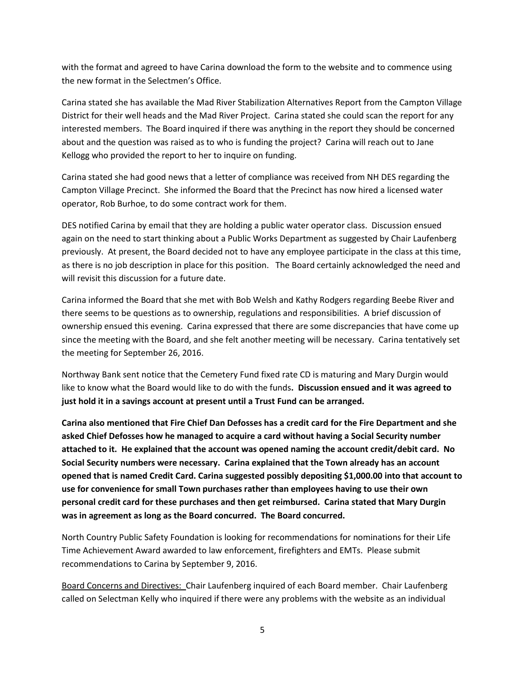with the format and agreed to have Carina download the form to the website and to commence using the new format in the Selectmen's Office.

Carina stated she has available the Mad River Stabilization Alternatives Report from the Campton Village District for their well heads and the Mad River Project. Carina stated she could scan the report for any interested members. The Board inquired if there was anything in the report they should be concerned about and the question was raised as to who is funding the project? Carina will reach out to Jane Kellogg who provided the report to her to inquire on funding.

Carina stated she had good news that a letter of compliance was received from NH DES regarding the Campton Village Precinct. She informed the Board that the Precinct has now hired a licensed water operator, Rob Burhoe, to do some contract work for them.

DES notified Carina by email that they are holding a public water operator class. Discussion ensued again on the need to start thinking about a Public Works Department as suggested by Chair Laufenberg previously. At present, the Board decided not to have any employee participate in the class at this time, as there is no job description in place for this position. The Board certainly acknowledged the need and will revisit this discussion for a future date.

Carina informed the Board that she met with Bob Welsh and Kathy Rodgers regarding Beebe River and there seems to be questions as to ownership, regulations and responsibilities. A brief discussion of ownership ensued this evening. Carina expressed that there are some discrepancies that have come up since the meeting with the Board, and she felt another meeting will be necessary. Carina tentatively set the meeting for September 26, 2016.

Northway Bank sent notice that the Cemetery Fund fixed rate CD is maturing and Mary Durgin would like to know what the Board would like to do with the funds**. Discussion ensued and it was agreed to just hold it in a savings account at present until a Trust Fund can be arranged.** 

**Carina also mentioned that Fire Chief Dan Defosses has a credit card for the Fire Department and she asked Chief Defosses how he managed to acquire a card without having a Social Security number attached to it. He explained that the account was opened naming the account credit/debit card. No Social Security numbers were necessary. Carina explained that the Town already has an account opened that is named Credit Card. Carina suggested possibly depositing \$1,000.00 into that account to use for convenience for small Town purchases rather than employees having to use their own personal credit card for these purchases and then get reimbursed. Carina stated that Mary Durgin was in agreement as long as the Board concurred. The Board concurred.** 

North Country Public Safety Foundation is looking for recommendations for nominations for their Life Time Achievement Award awarded to law enforcement, firefighters and EMTs. Please submit recommendations to Carina by September 9, 2016.

Board Concerns and Directives: Chair Laufenberg inquired of each Board member. Chair Laufenberg called on Selectman Kelly who inquired if there were any problems with the website as an individual